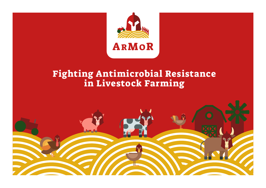

## Fighting Antimicrobial Resistance in Livestock Farming

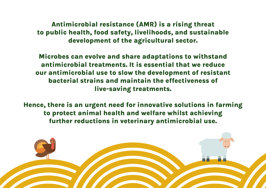Antimicrobial resistance (AMR) is a rising threat to public health, food safety, livelihoods, and sustainable development of the agricultural sector.

Microbes can evolve and share adaptations to withstand antimicrobial treatments. It is essential that we reduce our antimicrobial use to slow the development of resistant bacterial strains and maintain the effectiveness of live-saving treatments.

Hence, there is an urgent need for innovative solutions in farming to protect animal health and welfare whilst achieving further reductions in veterinary antimicrobial use.

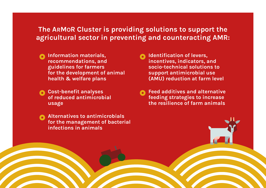## The ARMOR Cluster is providing solutions to support the agricultural sector in preventing and counteracting AMR:

- Information materials, recommendations, and guidelines for farmers for the development of animal health & welfare plans
- **Cost-benefit analyses** of reduced antimicrobial usage
- Alternatives to antimicrobials for the management of bacterial infections in animals
- Identification of levers, incentives, indicators, and socio-technical solutions to support antimicrobial use (AMU) reduction at farm level
- Feed additives and alternative feeding strategies to increase the resilience of farm animals